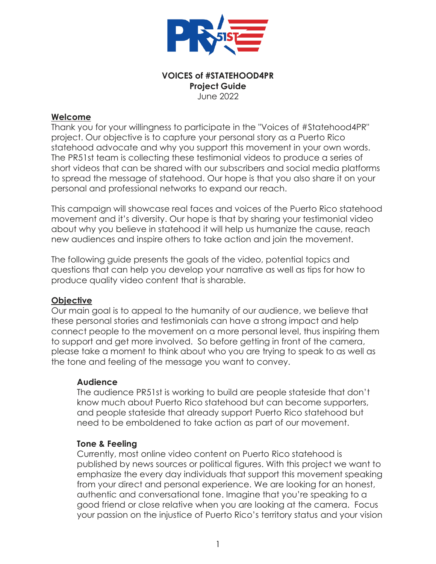

#### **VOICES of #STATEHOOD4PR Project Guide** June 2022

### **Welcome**

Thank you for your willingness to participate in the "Voices of #Statehood4PR" project. Our objective is to capture your personal story as a Puerto Rico statehood advocate and why you support this movement in your own words. The PR51st team is collecting these testimonial videos to produce a series of short videos that can be shared with our subscribers and social media platforms to spread the message of statehood. Our hope is that you also share it on your personal and professional networks to expand our reach.

This campaign will showcase real faces and voices of the Puerto Rico statehood movement and it's diversity. Our hope is that by sharing your testimonial video about why you believe in statehood it will help us humanize the cause, reach new audiences and inspire others to take action and join the movement.

The following guide presents the goals of the video, potential topics and questions that can help you develop your narrative as well as tips for how to produce quality video content that is sharable.

### **Objective**

Our main goal is to appeal to the humanity of our audience, we believe that these personal stories and testimonials can have a strong impact and help connect people to the movement on a more personal level, thus inspiring them to support and get more involved. So before getting in front of the camera, please take a moment to think about who you are trying to speak to as well as the tone and feeling of the message you want to convey.

### **Audience**

The audience PR51st is working to build are people stateside that don't know much about Puerto Rico statehood but can become supporters, and people stateside that already support Puerto Rico statehood but need to be emboldened to take action as part of our movement.

### **Tone & Feeling**

Currently, most online video content on Puerto Rico statehood is published by news sources or political figures. With this project we want to emphasize the every day individuals that support this movement speaking from your direct and personal experience. We are looking for an honest, authentic and conversational tone. Imagine that you're speaking to a good friend or close relative when you are looking at the camera. Focus your passion on the injustice of Puerto Rico's territory status and your vision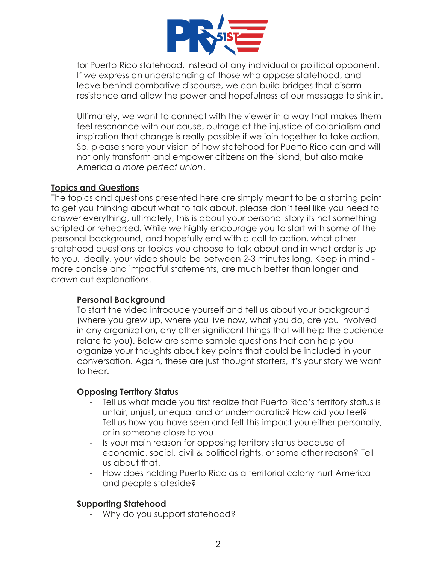

for Puerto Rico statehood, instead of any individual or political opponent. If we express an understanding of those who oppose statehood, and leave behind combative discourse, we can build bridges that disarm resistance and allow the power and hopefulness of our message to sink in.

Ultimately, we want to connect with the viewer in a way that makes them feel resonance with our cause, outrage at the injustice of colonialism and inspiration that change is really possible if we join together to take action. So, please share your vision of how statehood for Puerto Rico can and will not only transform and empower citizens on the island, but also make America *a more perfect union*.

### **Topics and Questions**

The topics and questions presented here are simply meant to be a starting point to get you thinking about what to talk about, please don't feel like you need to answer everything, ultimately, this is about your personal story its not something scripted or rehearsed. While we highly encourage you to start with some of the personal background, and hopefully end with a call to action, what other statehood questions or topics you choose to talk about and in what order is up to you. Ideally, your video should be between 2-3 minutes long. Keep in mind more concise and impactful statements, are much better than longer and drawn out explanations.

### **Personal Background**

To start the video introduce yourself and tell us about your background (where you grew up, where you live now, what you do, are you involved in any organization, any other significant things that will help the audience relate to you). Below are some sample questions that can help you organize your thoughts about key points that could be included in your conversation. Again, these are just thought starters, it's your story we want to hear.

### **Opposing Territory Status**

- Tell us what made you first realize that Puerto Rico's territory status is unfair, unjust, unequal and or undemocratic? How did you feel?
- Tell us how you have seen and felt this impact you either personally, or in someone close to you.
- Is your main reason for opposing territory status because of economic, social, civil & political rights, or some other reason? Tell us about that.
- How does holding Puerto Rico as a territorial colony hurt America and people stateside?

# **Supporting Statehood**

Why do you support statehood?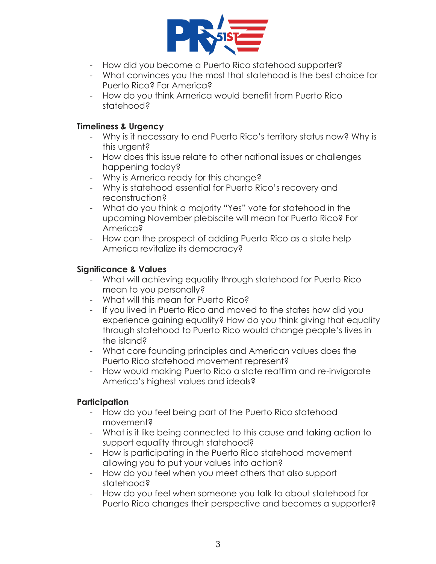

- How did you become a Puerto Rico statehood supporter?
- What convinces you the most that statehood is the best choice for Puerto Rico? For America?
- How do you think America would benefit from Puerto Rico statehood?

# **Timeliness & Urgency**

- Why is it necessary to end Puerto Rico's territory status now? Why is this urgent?
- How does this issue relate to other national issues or challenges happening today?
- Why is America ready for this change?
- Why is statehood essential for Puerto Rico's recovery and reconstruction?
- What do you think a majority "Yes" vote for statehood in the upcoming November plebiscite will mean for Puerto Rico? For America?
- How can the prospect of adding Puerto Rico as a state help America revitalize its democracy?

# **Significance & Values**

- What will achieving equality through statehood for Puerto Rico mean to you personally?
- What will this mean for Puerto Rico?
- If you lived in Puerto Rico and moved to the states how did you experience gaining equality? How do you think giving that equality through statehood to Puerto Rico would change people's lives in the island?
- What core founding principles and American values does the Puerto Rico statehood movement represent?
- How would making Puerto Rico a state reaffirm and re-invigorate America's highest values and ideals?

# **Participation**

- How do you feel being part of the Puerto Rico statehood movement?
- What is it like being connected to this cause and taking action to support equality through statehood?
- How is participating in the Puerto Rico statehood movement allowing you to put your values into action?
- How do you feel when you meet others that also support statehood?
- How do you feel when someone you talk to about statehood for Puerto Rico changes their perspective and becomes a supporter?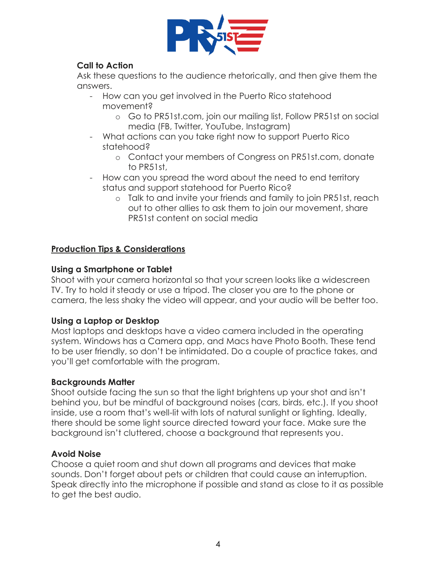

# **Call to Action**

Ask these questions to the audience rhetorically, and then give them the answers.

- How can you get involved in the Puerto Rico statehood movement?
	- o Go to PR51st.com, join our mailing list, Follow PR51st on social media (FB, Twitter, YouTube, Instagram)
- What actions can you take right now to support Puerto Rico statehood?
	- o Contact your members of Congress on PR51st.com, donate to PR51st,
- How can you spread the word about the need to end territory status and support statehood for Puerto Rico?
	- o Talk to and invite your friends and family to join PR51st, reach out to other allies to ask them to join our movement, share PR51st content on social media

# **Production Tips & Considerations**

# **Using a Smartphone or Tablet**

Shoot with your camera horizontal so that your screen looks like a widescreen TV. Try to hold it steady or use a tripod. The closer you are to the phone or camera, the less shaky the video will appear, and your audio will be better too.

# **Using a Laptop or Desktop**

Most laptops and desktops have a video camera included in the operating system. Windows has a Camera app, and Macs have Photo Booth. These tend to be user friendly, so don't be intimidated. Do a couple of practice takes, and you'll get comfortable with the program.

# **Backgrounds Matter**

Shoot outside facing the sun so that the light brightens up your shot and isn't behind you, but be mindful of background noises (cars, birds, etc.). If you shoot inside, use a room that's well-lit with lots of natural sunlight or lighting. Ideally, there should be some light source directed toward your face. Make sure the background isn't cluttered, choose a background that represents you.

# **Avoid Noise**

Choose a quiet room and shut down all programs and devices that make sounds. Don't forget about pets or children that could cause an interruption. Speak directly into the microphone if possible and stand as close to it as possible to get the best audio.